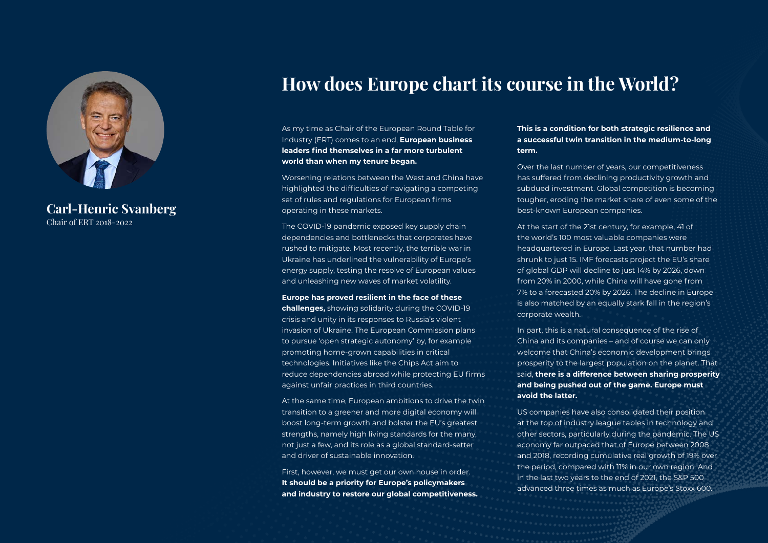

**Carl-Henric Svanberg** Chair of ERT 2018-2022

# **How does Europe chart its course in the World?**

As my time as Chair of the European Round Table for Industry (ERT) comes to an end, **European business leaders find themselves in a far more turbulent world than when my tenure began.** 

Worsening relations between the West and China have highlighted the difficulties of navigating a competing set of rules and regulations for European firms operating in these markets.

The COVID-19 pandemic exposed key supply chain dependencies and bottlenecks that corporates have rushed to mitigate. Most recently, the terrible war in Ukraine has underlined the vulnerability of Europe's energy supply, testing the resolve of European values and unleashing new waves of market volatility.

#### **Europe has proved resilient in the face of these**

**challenges,** showing solidarity during the COVID-19 crisis and unity in its responses to Russia's violent invasion of Ukraine. The European Commission plans to pursue 'open strategic autonomy' by, for example promoting home-grown capabilities in critical technologies. Initiatives like the Chips Act aim to reduce dependencies abroad while protecting EU firms against unfair practices in third countries.

At the same time, European ambitions to drive the twin transition to a greener and more digital economy will boost long-term growth and bolster the EU's greatest strengths, namely high living standards for the many, not just a few, and its role as a global standard-setter and driver of sustainable innovation.

First, however, we must get our own house in order. **It should be a priority for Europe's policymakers and industry to restore our global competitiveness.**  **This is a condition for both strategic resilience and a successful twin transition in the medium-to-long term.** 

Over the last number of years, our competitiveness has suffered from declining productivity growth and subdued investment. Global competition is becoming tougher, eroding the market share of even some of the best-known European companies.

At the start of the 21st century, for example, 41 of the world's 100 most valuable companies were headquartered in Europe. Last year, that number had shrunk to just 15. IMF forecasts project the EU's share of global GDP will decline to just 14% by 2026, down from 20% in 2000, while China will have gone from 7% to a forecasted 20% by 2026. The decline in Europe is also matched by an equally stark fall in the region's corporate wealth.

In part, this is a natural consequence of the rise of China and its companies – and of course we can only welcome that China's economic development brings prosperity to the largest population on the planet. That said, **there is a difference between sharing prosperity and being pushed out of the game. Europe must avoid the latter.** 

US companies have also consolidated their position at the top of industry league tables in technology and other sectors, particularly during the pandemic. The US economy far outpaced that of Europe between 2008 and 2018, recording cumulative real growth of 19% over the period, compared with 11% in our own region. And in the last two years to the end of 2021, the S&P 500 advanced three times as much as Europe's Stoxx 600.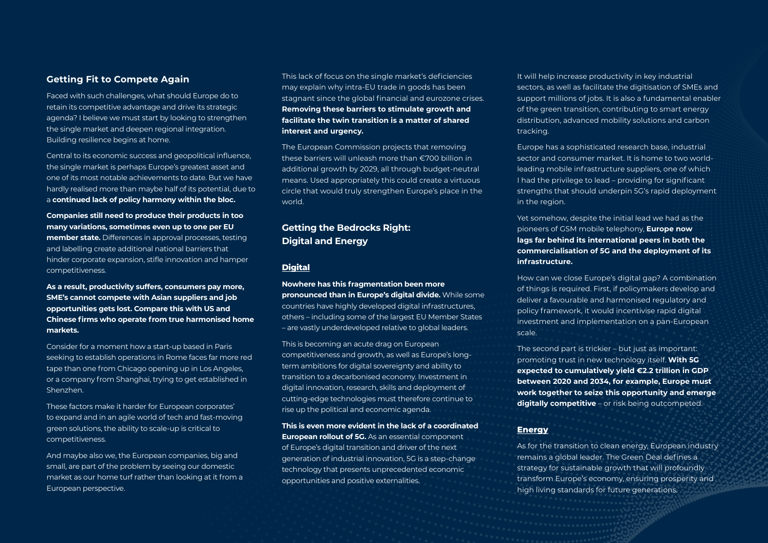### **Getting Fit to Compete Again**

Faced with such challenges, what should Europe do to retain its competitive advantage and drive its strategic agenda? I believe we must start by looking to strengthen the single market and deepen regional integration. Building resilience begins at home.

Central to its economic success and geopolitical influence, the single market is perhaps Europe's greatest asset and one of its most notable achievements to date. But we have hardly realised more than maybe half of its potential, due to a **continued lack of policy harmony within the bloc.** 

**Companies still need to produce their products in too many variations, sometimes even up to one per EU member state.** Differences in approval processes, testing and labelling create additional national barriers that hinder corporate expansion, stifle innovation and hamper competitiveness.

**As a result, productivity suffers, consumers pay more, SME's cannot compete with Asian suppliers and job opportunities gets lost. Compare this with US and Chinese firms who operate from true harmonised home markets.** 

Consider for a moment how a start-up based in Paris seeking to establish operations in Rome faces far more red tape than one from Chicago opening up in Los Angeles, or a company from Shanghai, trying to get established in Shenzhen.

These factors make it harder for European corporates' to expand and in an agile world of tech and fast-moving green solutions, the ability to scale-up is critical to competitiveness.

And maybe also we, the European companies, big and small, are part of the problem by seeing our domestic market as our home turf rather than looking at it from a European perspective.

This lack of focus on the single market's deficiencies may explain why intra-EU trade in goods has been stagnant since the global financial and eurozone crises. **Removing these barriers to stimulate growth and facilitate the twin transition is a matter of shared interest and urgency.** 

The European Commission projects that removing these barriers will unleash more than €700 billion in additional growth by 2029, all through budget-neutral means. Used appropriately this could create a virtuous circle that would truly strengthen Europe's place in the world.

## **Getting the Bedrocks Right: Digital and Energy**

#### **Digital**

**Nowhere has this fragmentation been more pronounced than in Europe's digital divide.** While some countries have highly developed digital infrastructures, others – including some of the largest EU Member States – are vastly underdeveloped relative to global leaders.

This is becoming an acute drag on European competitiveness and growth, as well as Europe's longterm ambitions for digital sovereignty and ability to transition to a decarbonised economy. Investment in digital innovation, research, skills and deployment of cutting-edge technologies must therefore continue to rise up the political and economic agenda.

**This is even more evident in the lack of a coordinated European rollout of 5G.** As an essential component of Europe's digital transition and driver of the next generation of industrial innovation, 5G is a step-change technology that presents unprecedented economic opportunities and positive externalities.

It will help increase productivity in key industrial sectors, as well as facilitate the digitisation of SMEs and support millions of jobs. It is also a fundamental enabler of the green transition, contributing to smart energy distribution, advanced mobility solutions and carbon tracking.

Europe has a sophisticated research base, industrial sector and consumer market. It is home to two worldleading mobile infrastructure suppliers, one of which I had the privilege to lead – providing for significant strengths that should underpin 5G's rapid deployment in the region.

Yet somehow, despite the initial lead we had as the pioneers of GSM mobile telephony, **Europe now lags far behind its international peers in both the commercialisation of 5G and the deployment of its infrastructure.** 

How can we close Europe's digital gap? A combination of things is required. First, if policymakers develop and deliver a favourable and harmonised regulatory and policy framework, it would incentivise rapid digital investment and implementation on a pan-European scale.

The second part is trickier – but just as important: promoting trust in new technology itself. **With 5G expected to cumulatively yield €2.2 trillion in GDP between 2020 and 2034, for example, Europe must work together to seize this opportunity and emerge digitally competitive** – or risk being outcompeted.

#### **Energy**

As for the transition to clean energy, European industry remains a global leader. The Green Deal defines a strategy for sustainable growth that will profoundly transform Europe's economy, ensuring prosperity and high living standards for future generations.